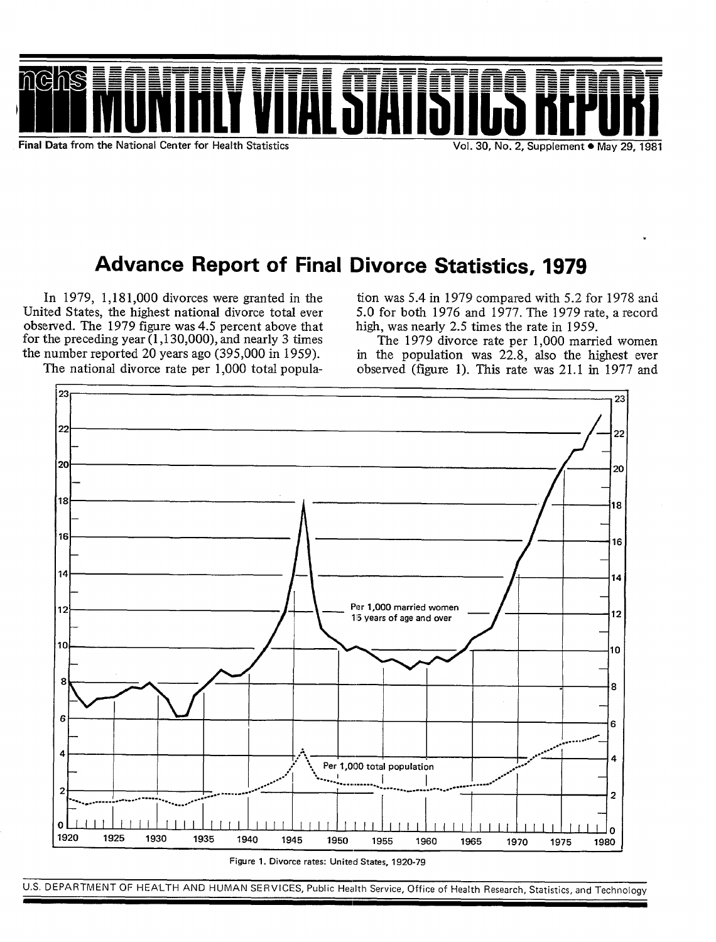

.

# Advance Report of Final Divorce Statistics, 1979

In 1979, 1,181,000 divorces were granted in the United States, the highest national divorce total ever observed. The 1979 figure was 4.5 percent above that for the preceding year  $(1, 130, 000)$ , and nearly 3 times the number reported 20 years ago (395,000 in 1959). The national divorce rate per 1,000 total popula

tion was 5.4 in 1979 compared with 5.2 for 1978 and 5.0 for both 1976 and 1977. The 1979 rate, a record high, was nearly 2-5 times the rate in 1959.

The 1979 divorce rate per 1,000 married women in the population was 22.8, also the highest ever observed (figure 1). This rate was 21.1 in 1977 and



**Figure 1. Divorce rates: United States, 1920-79** 

U.S. DEPARTMENT OF HEALTH AND HUMAN SERVICES, Public Health Service, Office of Health Research, Statistics, and Technology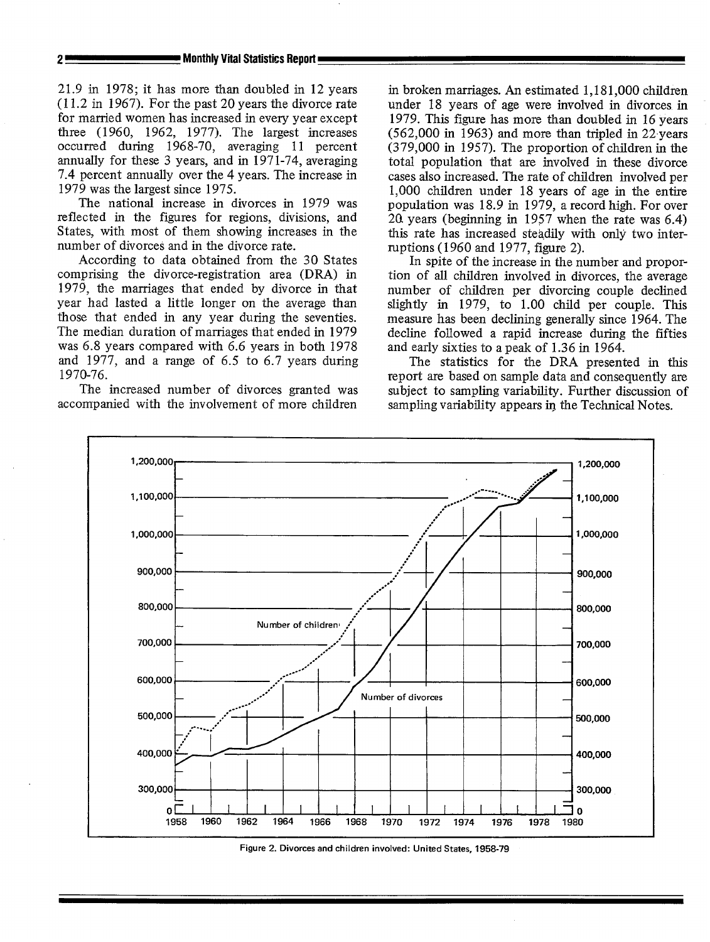21.9 in 1978; it has more than doubled in 12 years (11.2 in 1967). For the past 20 years the divorce rate for married women has increased in every year except three (1960, 1962, 1977). The largest increases occurred during 1968-70, averaging 11 percent annually for these 3 years, and in 1971-74, averaging 7.4 percent annually over the 4 years. The increase in 1979 was the largest since 1975.

The national increase in divorces in 1979 was reflected in the figures for regions, divisions, and States, with most of them showing increases in the number of divorces and in the divorce rate.

According to data obtained from the 30 States comprising the divorce-registration area (DRA) in 1979, the marriages that ended by divorce in that year had lasted a little longer on the average than those that ended in any year during the seventies. The median duration of marriages that ended in 1979 was 6.8 years compared with 6.6 years in both 1978 and 1977, and a range of 6.5 to 6.7 years during 1970-76.

The increased number of divorces granted was accompanied with the involvement of more children

in broken marriages. An estimated 1,181,000 children under 18 years of age were involved in divorces in 1979. This figure has more than doubled in 16 years  $(562,000 \text{ in } 1963)$  and more than tripled in 22 years (379,000 in 1957). The proportion of children in the total population that are involved in these divorce cases also increased. The rate of children involved per 1,000 children under 18 years of age in the entire population was 18.9 in 1979, a record high. For over 20 years (beginning in 1957 when the rate was  $6.4$ ) this rate has increased steadily with only two interruptions (1960 and 1977, figure 2).

In spite of the increase in the number and proportion of all children involved in divorces, the average number of children per divorcing couple declined slightly in 1979, to 1.00 child per couple. This measure has been declining generally since 1964. The decline followed a rapid increase during the fifties and early sixties to a peak of 1.36 in 1964.

The statistics for the DRA presented in this report are based on sample data and consequently are subject to sampling variability. Further discussion of sampling variability appears in the Technical Notes.



**Figure 2. Divorces and children involved: United States, 1958-79**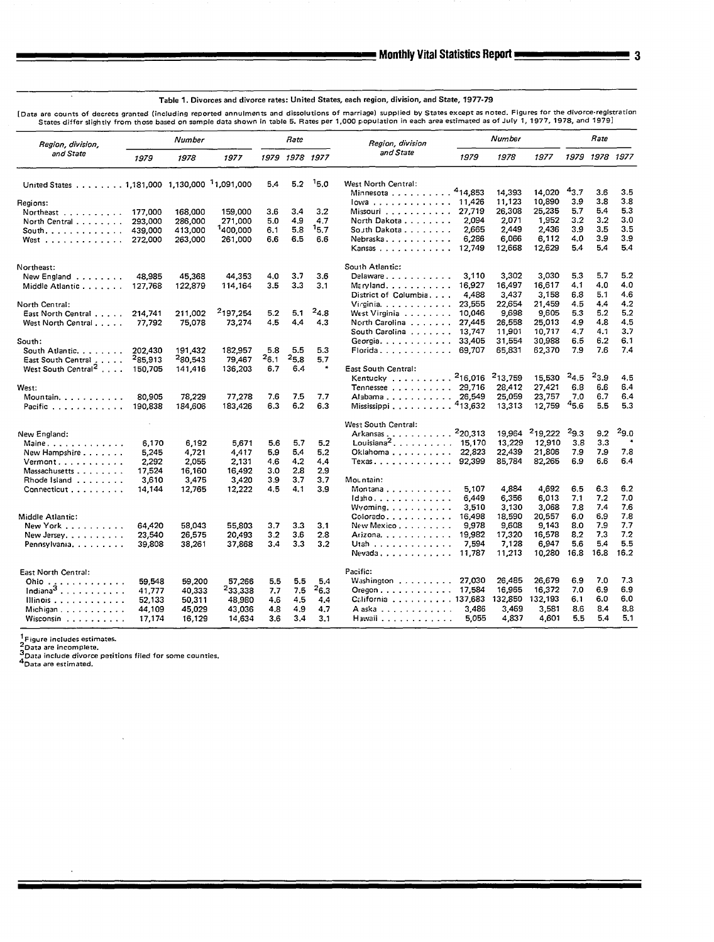**Table 1. Divorces and divorce rates: United States, each region, division, and State, 1977-79** 

Data are counts of decrees granted (including reported annuments and dissolutions of marriage) supplied by States except as noted. I ignes for the divolu-registration (i) cates the divolution in table 5. Rates per 1,000 po

| Region, division,                                        | Number             |                    | <b>Rate</b>          |              |                  | Region, division | Number                                              |                 |                     | Rate                |            |                |            |
|----------------------------------------------------------|--------------------|--------------------|----------------------|--------------|------------------|------------------|-----------------------------------------------------|-----------------|---------------------|---------------------|------------|----------------|------------|
| and State                                                | 1979               | 1978               | 1977                 |              | 1979 1978 1977   |                  | and State                                           | 1979            | 1978                | 1977                |            | 1979 1978 1977 |            |
| United States 1,181,000 1,130,000 <sup>1</sup> 1,091,000 |                    |                    |                      | 5.4          | 5.2              | 15.0             | West North Central:                                 |                 |                     |                     |            |                |            |
|                                                          |                    |                    |                      |              |                  |                  | Minnesota <sup>4</sup> 14,853                       |                 | 14.393              | 14.020              | 43.7       | 3.6            | 3.5        |
| Regions:                                                 |                    |                    |                      |              |                  |                  | lowa 11,426                                         |                 | 11,123              | 10,890              | 3.9        | 3.8            | 3.8<br>5.3 |
| Northeast                                                | 177,000            | 168,000            | 159,000              | 3.6          | 3.4<br>4.9       | 3,2              | Missouri                                            | 27,719<br>2.094 | 26,308<br>2.071     | 25,235<br>1,952     | 5.7<br>3.2 | 5.4<br>3.2     | 3.0        |
| North Central                                            | 293.000            | 286,000            | 271,000<br>1400,000  | 5.0<br>6.1   | 5.8              | 4.7<br>15.7      | North Dakota<br>South Dakota                        | 2.665           | 2,449               | 2,436               | 3.9        | 3.5            | 3.5        |
| South. $\ldots$ .<br>West                                | 439,000<br>272,000 | 413.000<br>263,000 | 261,000              | 6.6          | 6.5              | 6.6              | Nebraska                                            | 6.286           | 6.066               | 6,112               | 4.0        | 3.9            | 3.9        |
|                                                          |                    |                    |                      |              |                  |                  | Kansas                                              | 12,749          | 12,668              | 12,629              | 5.4        | 5.4            | 5.4        |
| Northeast:                                               |                    |                    |                      |              |                  |                  | South Atlantic:                                     |                 |                     |                     |            |                |            |
| New England                                              | 48.985             | 45,368             | 44,353               | 4.0          | 3.7              | 3.6              | Delaware                                            | 3.110           | 3.302               | 3,030               | 5.3        | 5.7            | 5.2        |
| Middle Atlantic                                          | 127,768            | 122,879            | 114,164              | 3.5          | 3.3              | 3.1              | $Mz$ ryland                                         | 16.927          | 16,497              | 16,617              | 4.1        | 4.0            | 4.0        |
|                                                          |                    |                    |                      |              |                  |                  | District of Columbia,                               | 4.488           | 3.437               | 3.158               | 6.8        | 5.1            | 4.6        |
| North Central:                                           |                    |                    |                      |              |                  |                  | Virginia                                            | 23,555          | 22,654              | 21,459              | 4.5        | 4.4            | 4.2        |
| East North Central                                       | 214,741            | 211.002            | <sup>2</sup> 197,254 | 5.2          | 5,1              | $^{2}4.8$        | West Virginia                                       | 10,046          | 9.698               | 9.605               | 5.3        | 5.2            | 5.2        |
| West North Central                                       | 77,792             | 75,078             | 73,274               | 4.5          | 4.4              | 4.3              | North Carolina                                      | 27,445          | 26,558              | 25,013              | 4.9        | 4.8            | 4.5        |
|                                                          |                    |                    |                      |              |                  |                  | South Carolina 13,747                               |                 | 11,901              | 10,717              | 4.7        | 4.1            | 3.7        |
| South:                                                   |                    |                    |                      |              |                  |                  | Georgia                                             | 33,405          | 31,554              | 30,988              | 6.5        | 6.2            | 6.1        |
| South Atlantic.                                          | 202.430            | 191,432            | 182,957              | 5.8          | 5.5              | 5.3              | Florida                                             | 69.707          | 65,831              | 62,370              | 7.9        | 7.6            | 7.4        |
| East South Central                                       | 285,913            | 280,543            | 79,467               | - 6.1<br>6.7 | $^{25.8}$<br>6.4 | 5.7              |                                                     |                 |                     |                     |            |                |            |
| West South Central <sup>2</sup>                          | 150,705            | 141,416            | 136,203              |              |                  |                  | East South Central:<br>Kentucky <sup>2</sup> 16,016 |                 | <sup>2</sup> 13,759 | 15,530              | $^{2}4.5$  | $^{2}3.9$      | 4.5        |
| West:                                                    |                    |                    |                      |              |                  |                  | Tennessee 29,716                                    |                 | 28,412              | 27,421              | 6.8        | 6.6            | 6.4        |
| Mountain.                                                | 80.905             | 78,229             | 77,278               | 7.6          | 7,5              | 7.7              | Alabama 26,549                                      |                 | 25,059              | 23.757              | 7.0        | 6.7            | 6.4        |
| Pacific                                                  | 190,838            | 184,606            | 183,426              | 6.3          | 6.2              | 6.3              | Mississippi $413,632$                               |                 | 13,313              | 12,759              | 45.6       | 5.5            | 5.3        |
|                                                          |                    |                    |                      |              |                  |                  | West South Central:                                 |                 |                     |                     |            |                |            |
| New England:                                             |                    |                    |                      |              |                  |                  | Arkansas                                            | 220,313         | 19,964              | <sup>2</sup> 19,222 | $^{2}9.3$  | 9.2            | $^{29.0}$  |
| Maine.                                                   | 6.170              | 6.192              | 5.671                | 5.6          | 5.7              | 5.2              | Louisiana <sup>2</sup> . 15,170                     |                 | 13,229              | 12,910              | 3.8        | 3.3            | $\ast$     |
| New Hampshire                                            | 5,245              | 4.721              | 4,417                | 5.9          | 5.4              | 5.2              | Oklahoma                                            | 22,823          | 22,439              | 21,806              | 7.9        | 7.9            | 7.8        |
| Vermont.                                                 | 2.292              | 2.055              | 2,131                | 4.6          | 4.2              | 4.4              | $T$ exas, , , , , , , , , , , , , ,                 | 92.399          | 85.784              | 82.265              | 6.9        | 6.6            | 6.4        |
| Massachusetts                                            | 17.524             | 16,160             | 16,492               | 3.0          | 2.8              | 2.9              |                                                     |                 |                     |                     |            |                |            |
| Rhode Island                                             | 3,610              | 3,475              | 3,420                | 3.9          | 3.7              | 3.7              | Mountain:                                           |                 |                     |                     |            |                |            |
| Connecticut                                              | 14.144             | 12,765             | 12,222               | 4.5          | 4.1              | 3.9              | Montana                                             | 5.107           | 4,884               | 4,692               | 6.5        | 6.3            | 6.2        |
|                                                          |                    |                    |                      |              |                  |                  | $Id$ aho                                            | 6,449           | 6,356               | 6,013               | 7.1        | 7.2            | 7.0        |
| Middle Atlantic:                                         |                    |                    |                      |              |                  |                  | $Wy$ oming. $\ldots$ .                              | 3,510<br>16,498 | 3,130<br>18,590     | 3,068<br>20,557     | 7.8<br>6.0 | 7,4<br>6.9     | 7.6<br>7.8 |
| New York                                                 | 64,420             | 58,043             | 55,803               | 3,7          | 3.3              | 3.1              | Colorado<br>New Mexico $\ldots$ $\ldots$ $\ldots$   | 9,978           | 9,608               | 9.143               | 8.0        | 7.9            | 7.7        |
| New Jersey. $\ldots$ , $\ldots$ .                        | 23,540             | 26,575             | 20,493               | 3,2          | 3.6              | 2.8              | Arizona.                                            | 19,982          | 17,320              | 16,578              | 8.2        | 7.3            | 7.2        |
| Pennsylvania                                             | 39,808             | 38,261             | 37,868               | 3.4          | 3.3              | 3.2              | Utah $\ldots$ , $\ldots$ , $\ldots$ , $\ldots$      | 7.594           | 7,128               | 6,947               | 5.6        | 5.4            | 5.5        |
|                                                          |                    |                    |                      |              |                  |                  | Nevada                                              | 11,787          | 11,213              | 10,280              | 16.8       | 16.8           | 16.2       |
| East North Central:                                      |                    |                    |                      |              |                  |                  | Pacific:                                            |                 |                     |                     |            |                |            |
| Ohio $\ldots$                                            | 59,548             | 59,200             | 57,266               | 5.5          | 5.5              | 5.4              | Washington                                          | 27,030          | 26,485              | 26,679              | 6.9        | 7.0            | 7.3        |
| $Indiana3$ .                                             | 41,777             | 40,333             | 233,338              | 7.7          | 7.5              | $^{2}6.3$        | Oregon 17,584                                       |                 | 16.965              | 16,372              | 7.0        | 6.9            | 6.9        |
| Illinois                                                 | 52,133             | 50,311             | 48,980               | 4.6          | 4,5              | 4.4              | California 137,683                                  |                 | 132,850             | 132,193             | 6.1        | 6.0            | 6.0        |
| Michigan                                                 | 44,109             | 45,029             | 43.036               | 4.8          | 4.9              | 4.7              | Aaska                                               | 3.486           | 3,469               | 3.581               | 8.6        | 8.4            | 8.8        |
| Wisconsin                                                | 17,174             | 16,129             | 14,634               | 3.6          | 3.4              | 3.1              | Hawaii $\ldots$ , $\ldots$ , $\ldots$ , $\ldots$    | 5,055           | 4,837               | 4.601               | 5.5        | 5.4            | 5.1        |

 $\bar{z}$ 

<sup>1</sup> Figure includes estimates.<br><sup>2</sup> Data are incomplete.<br><sup>3</sup> Data include divorce petitions filed for some cou<br><sup>4</sup> Data are estimated. **3**

—

τ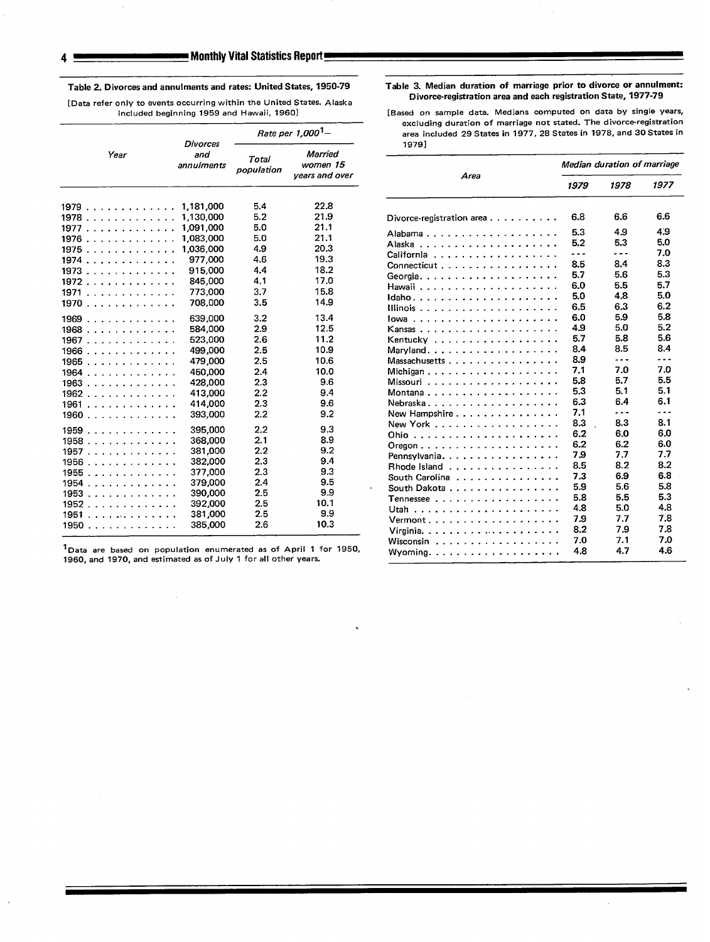Clivorce-registration area and each registration State, 1977-79 [Data refer only to events occurring within the United States. Alaska<br>included beginning 1959 and Hawaii, 1960] [Based on sample data. Medians computed on dat

|      | <b>Divorces</b>   | Rate per 1,000 <sup>1</sup> - |                                       | excluding duration of marriage not stated. The on-or set<br>area included 29 States in 1977, 28 States in 1978, and 30 States |                            |                                           |            |  |  |  |
|------|-------------------|-------------------------------|---------------------------------------|-------------------------------------------------------------------------------------------------------------------------------|----------------------------|-------------------------------------------|------------|--|--|--|
| Year | and<br>annulments | Total<br>population           | Married<br>women 15<br>years and over | 1979]<br>Area                                                                                                                 | Median duration of marrias |                                           |            |  |  |  |
|      |                   |                               |                                       |                                                                                                                               | 1979                       | 1978                                      | 1977       |  |  |  |
| 1979 | 1,181,000         | 5.4                           | 22.8                                  |                                                                                                                               |                            |                                           |            |  |  |  |
| 1978 | 1.130.000         | 5.2                           | 21.9                                  | Divorce-registration area                                                                                                     | 6.8                        | 6.6                                       | 6.6        |  |  |  |
| 1977 | 1,091,000         | 5.0                           | 21.1                                  |                                                                                                                               |                            |                                           | 4.9        |  |  |  |
| 1976 | 1,083,000         | 5.0                           | 21.1                                  |                                                                                                                               | 5.3                        | 4.9                                       | 5.0        |  |  |  |
| 1975 | 1,036,000         | 4.9                           | 20.3                                  |                                                                                                                               | 5.2                        | 5.3                                       | 7.0        |  |  |  |
| 1974 | 977,000           | 4.6                           | 19.3                                  | California                                                                                                                    | $\ddotsc$                  | $\frac{1}{2}$ $\frac{1}{2}$ $\frac{1}{2}$ | 8.3        |  |  |  |
| 1973 | 915,000           | 4.4                           | 18.2                                  | Connecticut                                                                                                                   | 8.5                        | 8.4                                       |            |  |  |  |
| 1972 | 845,000           | 4.1                           | 17.0                                  |                                                                                                                               | 5.7                        | 5.6                                       | 5.3<br>5.7 |  |  |  |
| 1971 | 773,000           | 3.7                           | 15.8                                  |                                                                                                                               | 6.0                        | 5.5                                       |            |  |  |  |
| 1970 | 708,000           | 3.5                           | 14.9                                  | Idaho                                                                                                                         | 5.0                        | 4.8                                       | 5.0        |  |  |  |
|      |                   |                               |                                       | Illinois                                                                                                                      | 6.5                        | 6.3                                       | 6.2        |  |  |  |
| 1969 | 639,000           | 3.2                           | 13.4                                  |                                                                                                                               | 6.0                        | 5.9                                       | 5.8<br>5.2 |  |  |  |
| 1968 | 584,000           | 2.9                           | 12.5                                  |                                                                                                                               | 4.9                        | 5.0                                       | 5.6        |  |  |  |
| 1967 | 523,000           | 2.6                           | 11.2                                  | Kentucky                                                                                                                      | 5.7                        | 5.8                                       | 8.4        |  |  |  |
| 1966 | 499,000           | 2.5                           | 10.9                                  | Maryland                                                                                                                      | 8.4                        | 8.5                                       |            |  |  |  |
| 1965 | 479,000           | 2.5                           | 10.6                                  | Massachusetts                                                                                                                 | 8.9                        | ---                                       | ---        |  |  |  |
| 1964 | 450,000           | 2.4                           | 10.0                                  | Michigan                                                                                                                      | 7.1                        | 7.0                                       | 7.0        |  |  |  |
| 1963 | 428,000           | 2.3                           | 9.6                                   |                                                                                                                               | 5.8                        | 5.7                                       | 5.5        |  |  |  |
| 1962 | 413,000           | 2.2                           | 9.4                                   | Montana                                                                                                                       | 5.3                        | 5.1                                       | 5.1        |  |  |  |
| 1961 | 414,000           | 2.3                           | 9.6                                   | Nebraska                                                                                                                      | 6.3                        | 6.4                                       | 6.1        |  |  |  |
| 1960 | 393,000           | 2.2                           | 9.2                                   | New Hampshire                                                                                                                 | 7.1                        | .                                         | .          |  |  |  |
| 1959 | 395,000           | 2.2                           | 9.3                                   | New York                                                                                                                      | 8.3                        | 8.3                                       | 8.1        |  |  |  |
| 1958 | 368,000           | 2.1                           | 8.9                                   |                                                                                                                               | 6.2                        | 6.0                                       | 6.0        |  |  |  |
| 1957 | 381,000           | 2.2                           | 9.2                                   | $O$ regon $\ldots$ $\ldots$ $\ldots$ $\ldots$ $\ldots$ $\ldots$ $\ldots$ $\ldots$                                             | 6.2                        | 6.2                                       | 6.0        |  |  |  |
| 1956 | 382,000           | 2.3                           | 9.4                                   | Pennsylvania.                                                                                                                 | 7.9                        | 7.7                                       | 7.7        |  |  |  |
| 1955 | 377,000           | 2.3                           | 9.3                                   | Rhode Island                                                                                                                  | 8.5                        | 8.2                                       | 8.2        |  |  |  |
| 1954 | 379,000           | 2.4                           | 9.5                                   | South Carolina                                                                                                                | 7.3                        | 6.9                                       | 6.8        |  |  |  |
| 1953 | 390,000           | 2.5                           | 9.9                                   | South Dakota                                                                                                                  | 5.9                        | 5.6                                       | 5.8        |  |  |  |
| 1952 | 392,000           | 2.5                           | 10.1                                  |                                                                                                                               | 5.8                        | 5.5                                       | 5.3        |  |  |  |
|      | 381.000           | 2.5                           | 9.9                                   |                                                                                                                               | 4.8                        | 5.0                                       | 4.8        |  |  |  |
| 1951 | 385,000           | 2.6                           | 10.3                                  | Vermont.                                                                                                                      | 7.9                        | 7.7                                       | 7.8        |  |  |  |
| 1950 |                   |                               |                                       | Virginia<br>the contract of the contract of the contract of                                                                   | 8.2                        | 7.9                                       | 7.8        |  |  |  |

<sup>1</sup>Data are based on population enumerated as of April 1 for 1950, 1960, and 1970, and estimated as of July 1 for all other years.

Table 2. Divorces and annulments and rates: United States, 1950-79 Table 3. Median duration of marriage prior to divorce or annulment:

[Based on sample data. Medians computed on data by single years, excluding duration of marriage not stated. The divorce-registration excluding duration of marriage not stated. The divorce-registration Rate per 1,000<sup>1</sup>– area included 29 States in 1977, 28 States in 1978, and 30 States in

| Year                                                                                                                   | and<br>annulments | married<br>Total<br>women 15<br>population |                |                                                                 | Median duration of marriage |                      |         |  |
|------------------------------------------------------------------------------------------------------------------------|-------------------|--------------------------------------------|----------------|-----------------------------------------------------------------|-----------------------------|----------------------|---------|--|
|                                                                                                                        |                   |                                            | years and over | Area                                                            | 1979                        | 1978                 | 1977    |  |
| . <b>. .</b>                                                                                                           | 1,181,000         | 5.4                                        | 22.8           |                                                                 |                             |                      |         |  |
| . <b>.</b> .                                                                                                           | 1.130.000         | 5.2                                        | 21.9           | Divorce-registration area                                       | 6.8                         | 6.6                  | 6.6     |  |
| . <b>.</b>                                                                                                             | 1,091,000         | 5.0                                        | 21.1           | Alabama                                                         | 5.3                         | 4.9                  | 4.9     |  |
| . <i>.</i>                                                                                                             | 1,083,000         | 5.0                                        | 21.1           |                                                                 | 5.2                         | 5.3                  | 5.0     |  |
| .                                                                                                                      | 1,036,000         | 4.9                                        | 20.3           | California                                                      | $- - -$                     | .                    | 7.0     |  |
| . <b>. .</b> .                                                                                                         | 977,000           | 4.6                                        | 19.3           |                                                                 | 8.5                         | 8.4                  | 8.3     |  |
| .                                                                                                                      | 915,000           | 4.4                                        | 18.2           | Connecticut                                                     | 5.7                         | 5.6                  | 5.3     |  |
| .                                                                                                                      | 845,000           | 4.1                                        | 17.0           | Georgia                                                         | 6.0                         | 5.5                  | 5.7     |  |
| .                                                                                                                      | 773,000           | 3.7                                        | 15.8           |                                                                 | 5.0                         | 4.8                  | 5.0     |  |
| .                                                                                                                      | 708,000           | 3.5                                        | 14.9           |                                                                 | 6.5                         | 6.3                  | 6.2     |  |
|                                                                                                                        |                   | 3.2                                        | 13.4           |                                                                 | 6.0                         | 5.9                  | 5.8     |  |
| .                                                                                                                      | 639,000           |                                            |                |                                                                 | 4.9                         | 5.0                  | 5.2     |  |
| .                                                                                                                      | 584,000           | 2.9                                        | 12.5<br>11.2   | Kansas                                                          | 5.7                         | 5.8                  | 5.6     |  |
| .                                                                                                                      | 523,000           | 2.6                                        |                | Kentucky                                                        | 8.4                         | 8.5                  | 8.4     |  |
| .                                                                                                                      | 499,000           | 2.5                                        | 10.9           | Maryland                                                        | 8.9                         | ---                  | $- - -$ |  |
| .                                                                                                                      | 479,000           | 2.5                                        | 10.6           | Massachusetts                                                   |                             | 7.0                  | 7.0     |  |
| .                                                                                                                      | 450,000           | 2.4                                        | 10.0           | Michigan                                                        | 7.1                         | 5.7                  | 5.5     |  |
| .                                                                                                                      | 428,000           | 2.3                                        | 9.6            |                                                                 | 5.8                         |                      | 5.1     |  |
| .                                                                                                                      | 413,000           | 2.2                                        | 9.4            | Montana                                                         | 5.3                         | 5.1                  |         |  |
| .                                                                                                                      | 414,000           | 2.3                                        | 9.6            | Nebraska                                                        | 6.3                         | 6.4                  | 6.1     |  |
| .                                                                                                                      | 393,000           | 2.2                                        | 9.2            | New Hampshire                                                   | 7.1                         | $\sim$ $\sim$ $\sim$ | .       |  |
| .                                                                                                                      | 395,000           | 2.2                                        | 9.3            | New York $\ldots$ , $\ldots$ , $\ldots$ , $\ldots$              | 8.3                         | 8.3                  | 8.1     |  |
| .                                                                                                                      | 368,000           | 2.1                                        | 8.9            |                                                                 | 6.2                         | 6.0                  | 6.0     |  |
| .                                                                                                                      | 381,000           | 2.2                                        | 9.2            |                                                                 | 6.2                         | 6.2                  | 6.0     |  |
| . <b>.</b>                                                                                                             | 382,000           | 2.3                                        | 9.4            | Pennsylvania.                                                   | 7,9                         | 7.7                  | 7.7     |  |
| .                                                                                                                      | 377,000           | 2.3                                        | 9.3            | Rhode Island                                                    | 8.5                         | 8.2                  | 8.2     |  |
|                                                                                                                        | 379,000           | 2.4                                        | 9.5            | South Carolina                                                  | 7.3                         | 6.9                  | 6.8     |  |
| . <i>.</i>                                                                                                             | 390,000           | 2.5                                        | 9.9            | South Dakota                                                    | 5.9                         | 5.6                  | 5.8     |  |
| . <b>.</b>                                                                                                             | 392,000           | 2.5                                        | 10.1           |                                                                 | 5.8                         | 5.5                  | 5.3     |  |
| .                                                                                                                      |                   | 2.5                                        | 9.9            |                                                                 | 4.8                         | 5.0                  | 4.8     |  |
| .                                                                                                                      | 381,000           | 2.6                                        | 10.3           | Vermont.                                                        | 7.9                         | 7.7                  | 7.8     |  |
| .                                                                                                                      | 385,000           |                                            |                |                                                                 | 8.2                         | 7.9                  | 7.8     |  |
|                                                                                                                        |                   |                                            |                | Wisconsin $\cdots$ $\cdots$ $\cdots$ $\cdots$ $\cdots$ $\cdots$ | 7.0                         | 7.1                  | 7.0     |  |
| are based on population enumerated as of April 1 for 1950,<br>and 1970, and estimated as of July 1 for all other vears |                   |                                            |                | Wyoming.                                                        | 4.8                         | 4.7                  | 4.6     |  |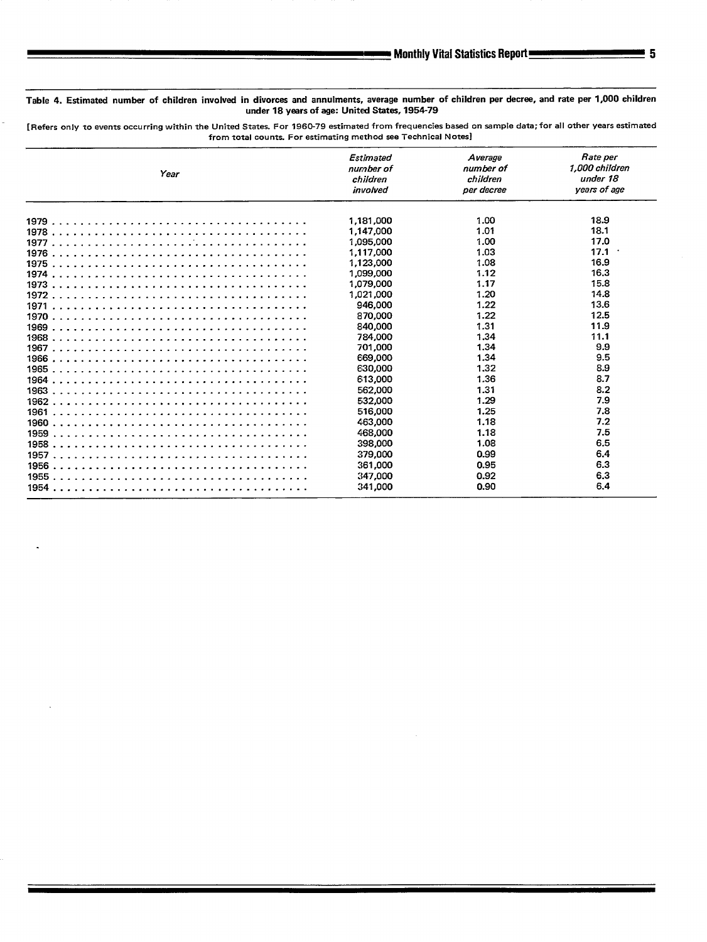### Table 4. Estimated number of children involved in divorces and annulments, average number of children perdecree, and rate per 1,000 children under 18 years of age: United States, 1954-79

[ Refers only to events occurring within the United States. For 1960-79 estimated from frequencies based on sample data; for all other years estimated from total counts. For estimating method see Technical Notes]

| Year | Estimated<br>number of<br>children<br>involved | Average<br>number of<br>children<br>per decree | Rate per<br>1.000 children<br>under 18<br>vears of age |
|------|------------------------------------------------|------------------------------------------------|--------------------------------------------------------|
|      | 1,181,000                                      | 1.00                                           | 18.9                                                   |
|      | 1,147,000                                      | 1.01                                           | 18.1                                                   |
|      | 1,095,000                                      | 1.00                                           | 17.0                                                   |
|      | 1,117,000                                      | 1.03                                           | 17.1                                                   |
|      | 1.123.000                                      | 1.08                                           | 16.9                                                   |
|      | 1.099,000                                      | 1.12                                           | 16.3                                                   |
|      | 1.079.000                                      | 1.17                                           | 15.8                                                   |
|      | 1.021.000                                      | 1.20                                           | 14.8                                                   |
| 1971 | 946,000                                        | 1.22                                           | 13.6                                                   |
|      | 870,000                                        | 1.22                                           | 12.5                                                   |
| 1969 | 840,000                                        | 1.31                                           | 11.9                                                   |
|      | 784,000                                        | 1.34                                           | 11.1                                                   |
|      | 701,000                                        | 1.34                                           | 9.9                                                    |
|      | <b>669,000</b>                                 | 1.34                                           | 9.5                                                    |
|      | 630,000                                        | 1.32                                           | 8.9                                                    |
|      | 613,000                                        | 1.36                                           | 8.7                                                    |
|      | 562,000                                        | 1.31                                           | 8.2                                                    |
|      | 532.000                                        | 1.29                                           | 7.9                                                    |
|      | 516,000                                        | 1.25                                           | 7.8                                                    |
|      | 463.000                                        | 1.18                                           | 7.2                                                    |
| 1959 | 468.000                                        | 1.18                                           | 7.5                                                    |
|      | 398,000                                        | 1.08                                           | 6.5                                                    |
|      | 379,000                                        | 0.99                                           | 6.4                                                    |
|      | 361,000                                        | 0.95                                           | 6.3                                                    |
|      | 347.000                                        | 0.92                                           | 6.3                                                    |
|      | 341,000                                        | 0.90                                           | 6.4                                                    |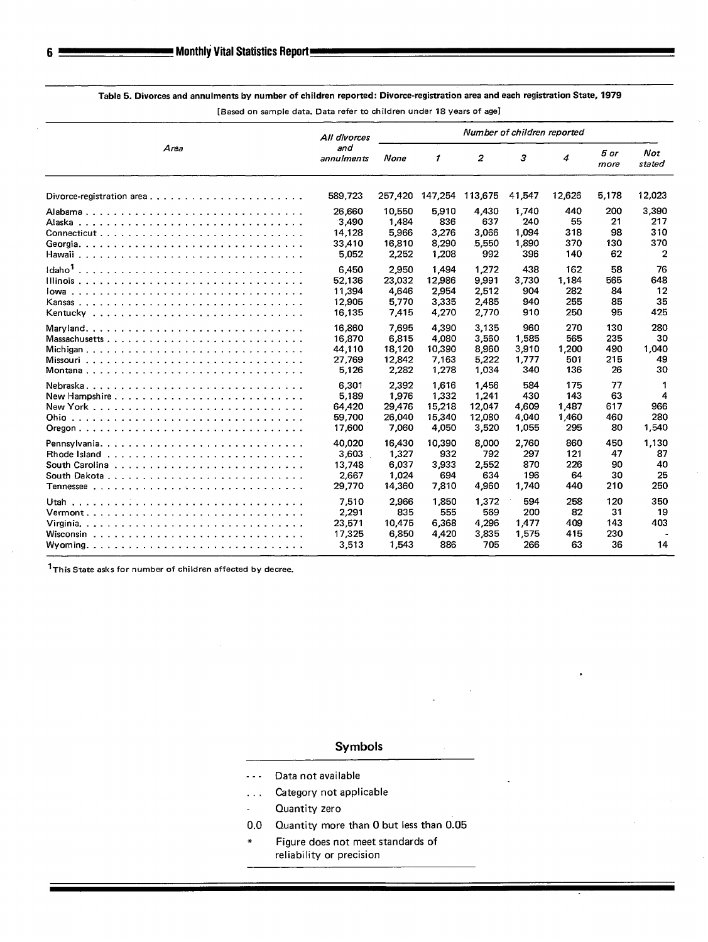|                                                                                                                | All divorces<br>and<br>annulments             | Number of children reported                 |                                             |                                             |                                       |                                     |                                |                                 |
|----------------------------------------------------------------------------------------------------------------|-----------------------------------------------|---------------------------------------------|---------------------------------------------|---------------------------------------------|---------------------------------------|-------------------------------------|--------------------------------|---------------------------------|
| Area                                                                                                           |                                               | None                                        | $\mathcal I$                                | 2                                           | з                                     | 4                                   | 5 or<br>more                   | <b>Not</b><br>stated            |
|                                                                                                                | 589.723                                       | 257,420                                     | 147,254                                     | 113,675                                     | 41,547                                | 12,626                              | 5,178                          | 12,023                          |
|                                                                                                                | 26,660<br>3,490<br>14,128<br>33,410<br>5,052  | 10,550<br>1,484<br>5.966<br>16,810<br>2,252 | 5,910<br>836<br>3.276<br>8,290<br>1,208     | 4,430<br>637<br>3,066<br>5,550<br>992       | 1.740<br>240<br>1,094<br>1,890<br>396 | 440<br>55<br>318<br>370<br>140      | 200<br>21<br>98<br>130<br>62   | 3,390<br>217<br>310<br>370<br>2 |
| Idaho <sup>1</sup>                                                                                             | 6,450<br>52.136<br>11,394<br>12,905<br>16,135 | 2,950<br>23,032<br>4,646<br>5.770<br>7,415  | 1.494<br>12.986<br>2,954<br>3,335<br>4,270  | 1.272<br>9,991<br>2,512<br>2,485<br>2,770   | 438<br>3,730<br>904<br>940<br>910     | 162<br>1.184<br>282<br>255<br>250   | 58<br>565<br>84<br>85<br>95    | 76<br>648<br>12<br>35<br>425    |
| Massachusetts<br>Montana                                                                                       | 16,860<br>16,870<br>44,110<br>27,769<br>5,126 | 7,695<br>6,815<br>18,120<br>12,842<br>2,282 | 4,390<br>4,080<br>10,390<br>7.163<br>1,278  | 3,135<br>3,560<br>8,960<br>5.222<br>1.034   | 960<br>1.585<br>3,910<br>1,777<br>340 | 270<br>565<br>1,200<br>501<br>136   | 130<br>235<br>490<br>215<br>26 | 280<br>30<br>1,040<br>49<br>30  |
| New Hampshire $\ldots$ , $\ldots$ , $\ldots$ , $\ldots$ , $\ldots$ , $\ldots$ , $\ldots$ , $\ldots$ , $\ldots$ | 6,301<br>5.189<br>64,420<br>59,700<br>17,600  | 2,392<br>1,976<br>29,476<br>26,040<br>7,060 | 1,616<br>1.332<br>15,218<br>15,340<br>4,050 | 1,456<br>1.241<br>12,047<br>12,080<br>3,520 | 584<br>430<br>4,609<br>4,040<br>1,055 | 175<br>143<br>1,487<br>1,460<br>295 | 77<br>63<br>617<br>460<br>80   | 4<br>966<br>280<br>1,540        |
|                                                                                                                | 40,020<br>3,603<br>13,748<br>2,667<br>29,770  | 16,430<br>1,327<br>6.037<br>1.024<br>14,360 | 10,390<br>932<br>3,933<br>694<br>7,810      | 8,000<br>792<br>2,552<br>634<br>4,960       | 2,760<br>297<br>870<br>196<br>1,740   | 860<br>121<br>226<br>64<br>440      | 450<br>47<br>90<br>30<br>210   | 1,130<br>87<br>40<br>25<br>250  |
|                                                                                                                | 7,510<br>2,291<br>23,571<br>17,325<br>3,513   | 2.966<br>835<br>10,475<br>6,850<br>1,543    | 1,850<br>555<br>6,368<br>4,420<br>886       | 1,372<br>569<br>4,296<br>3,835<br>705       | 594<br>200<br>1,477<br>1,575<br>266   | 258<br>82<br>409<br>415<br>63       | 120<br>31<br>143<br>230<br>36  | 350<br>19<br>403<br>14          |

## Table 5. Divorces and annulments by number of children reported: Divorce-registration area and each registration State, 1979

**[Based on sampla data. Data refer to children under 18 years of age]** 

**lThis State asks for number of children affected by decree.** 

### Symbols

- .-. **Data not available**
- ... Category not applicable
- **Quantity zero**   $\overline{a}$
- 0.0 Quantity more than 0 but less than 0.05
- Figure does not meet standards of **reliability or precision**

6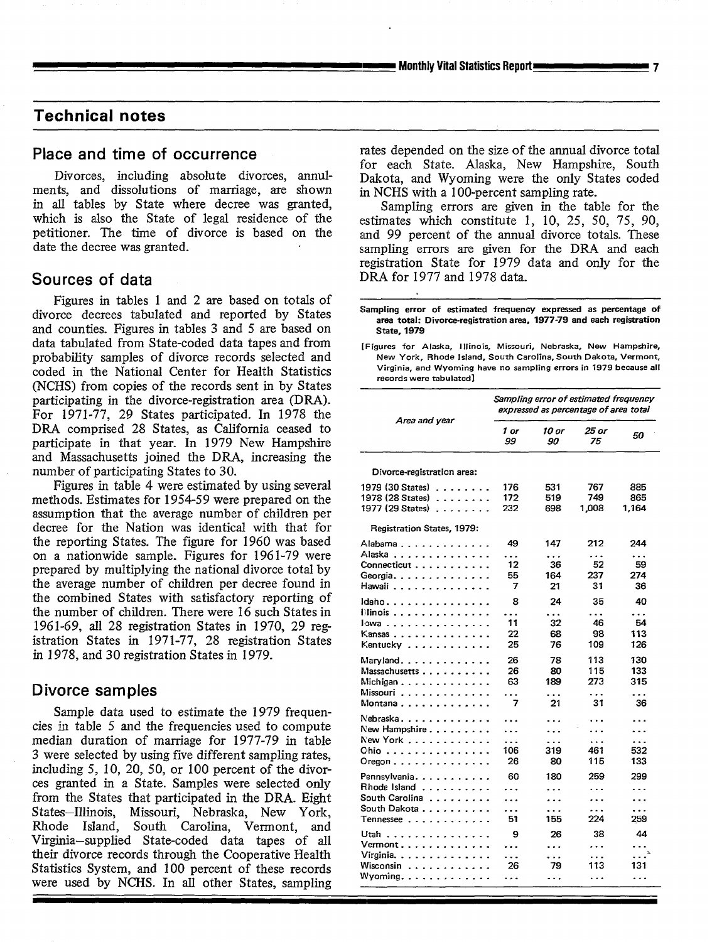### **Technical notes**

ments, and dissolutions of marriage, are shown in NCHS with a 100-percent sampling rate.<br>in all tables by State where decree was granted, Sampling errors are given in the table in all tables by State where decree was granted, Sampling errors are given in the table for the<br>which is also the State of legal residence of the estimates which constitute 1 10 25 50 75 90 which is also the State of legal residence of the estimates which constitute 1, 10, 25, 50, 75, 90, which is the estimates which constitute 1, 10, 25, 50, 75, 90,  $\eta$ petitioner. The time of divorce is based on the ind 99 percent of the annual divorce totals. These<br>date the decree was granted.

Figures in tables 1 and 2 are based on totals of divorce decrees tabulated and reported by States **Sampling error of estimated frequency expressed as percentage of**  and counties. Figures in tables 3 and 5 are based on data tabulated from State-coded data tapes and from **[Figures for Alaska, Illinois, Missouri, Ne**braska, New Hampshire, probability samples of divorce records selected and New York, Rhode Island, South Carolina, South Dakota, Vermont,<br>Codod in the National Center for Health Statistics Virginia, and Wyoming have no sampling errors in 1979 be coded in the National Center for Health Statistics (NCHS) from copies of the records sent in by States participating in the divorce-registration area (DRA). For 1971-77, 29 States participated. In 1978 the DRA comprised 28 States, as California ceased to participate in that year. In 1979 New Hampshire and Massachusetts joined the DRA, increasing the number of participating States to 30.

Figures in table 4 were estimated by using several *1979* **(30 States) . . . . . . . . 176** *531 767* **<sup>885</sup>** methods. Estimates for 1954-59 were prepared on the **<sup>1978</sup> (28 States) . . . . . . . . 172** *519 749* **<sup>865</sup>** assumption that the average number of children per decree for the Nation was identical with that for the reporting States. The figure for 1960 was based prepared by multiplying the national divorce total by the average number of children per decree found in the combined States with satisfactory reporting of the number of children. There were 16 such States in 1961-69, all 28 registration States in 1970, 29 registration States in 1971-77, 28 registration States in 1978, and 30 registration States in 1979. on a nationwide sample. Figures for 1961-79 were

### Divorce samples

Sample data used to estimate the 1979 frequencies in table 5 and the frequencies used to compute median duration of marriage for 1977-79 in table 3 were selected by using five different sampling rates, including 5, 10, 20, 50, or 100 percent of the divorces granted in a State. Samples were selected only from the States that participated in the DRA. Eight States–Illinois, Missouri, Nebraska, New York, Virginia-supplied State-coded data tapes of all their divorce records through the Cooperative Health Rhode Island, South Carolina, Vermont, and **Statistics System, and 100 percent of these records** were used by NCHS. In all other States, sampling

**Place and time of occurrence** rates depended on the size of the annual divorce total for each State. Alaska, New Hampshire, South Divorces, including absolute divorces, annul- Dakota, and Wyoming were the only States coded

sampling errors are given for the DRA and each registration State for 1979 data and only for the **Sources of data DRA** for 1977 and 1978 data.

**area total: Divorceregistration area, 1977-79 and each registration**

records were tabulatad]

|                                                                                                                                                                                                                                                                                                                               | Sampling error of estimated frequency<br>expressed as percentage of area total |                                            |                                  |                                  |  |  |  |  |
|-------------------------------------------------------------------------------------------------------------------------------------------------------------------------------------------------------------------------------------------------------------------------------------------------------------------------------|--------------------------------------------------------------------------------|--------------------------------------------|----------------------------------|----------------------------------|--|--|--|--|
| Area and year                                                                                                                                                                                                                                                                                                                 | 1 or<br>99                                                                     | 10 or<br>90                                | 25 or<br>75                      | 50                               |  |  |  |  |
| Divorce-registration area:                                                                                                                                                                                                                                                                                                    |                                                                                |                                            |                                  |                                  |  |  |  |  |
| 1979 (30 States)<br>1978 (28 States)<br>1977 (29 States)                                                                                                                                                                                                                                                                      | 176<br>172<br>232                                                              | 531<br>519<br>698                          | 767<br>749<br>1,008              | 885<br>865<br>1,164              |  |  |  |  |
| Registration States, 1979:                                                                                                                                                                                                                                                                                                    |                                                                                |                                            |                                  |                                  |  |  |  |  |
| Alabama<br>$\sim$<br>Alaska<br>$\ddot{\phantom{a}}$<br>Connecticut.<br>$\ddot{\phantom{a}}$<br>$\ddot{\phantom{a}}$<br>Georgia                                                                                                                                                                                                | 49<br>.<br>12<br>55                                                            | 147<br>$\ddotsc$<br>36<br>164              | 212<br>$\ddotsc$<br>52<br>237    | 244<br>.<br>59<br>274            |  |  |  |  |
| Hawaii<br>$\cdot$<br>ldaho. .                                                                                                                                                                                                                                                                                                 | 7<br>8                                                                         | 21<br>24                                   | 31<br>35                         | 36<br>40                         |  |  |  |  |
| $\mathbf{r}$<br>$\overline{a}$<br>llinois.<br>$\ddot{\phantom{a}}$<br>$\ddot{\phantom{a}}$<br>lowa.<br>$\overline{a}$<br>$\ddot{\phantom{a}}$<br>l,<br>$\ddot{\phantom{0}}$<br>$\overline{a}$<br>Kansas.<br>$\sim$<br>$\overline{a}$<br>$\sim$<br>$\sim$<br>$\sim$<br>$\mathbf{r}$<br>Kentucky<br>$\bullet$<br>$\overline{a}$ | .<br>11<br>22<br>25                                                            | $\ddotsc$<br>32<br>68<br>76                | .<br>46<br>98<br>109             | .<br>54<br>113<br>126            |  |  |  |  |
| Maryland<br>$\ddot{\phantom{0}}$<br>$\lambda$<br>Massachusetts.<br>$\ddot{\phantom{a}}$<br>$\overline{a}$<br>Michigan<br>$\ddot{\phantom{a}}$<br>$\bullet$<br>Missouri<br>Montana<br>$\sim$<br>$\overline{a}$                                                                                                                 | 26<br>26<br>63<br>$\sim$ $\sim$<br>7                                           | 78<br>80<br>189<br>.<br>21                 | 113<br>115<br>273<br>.<br>31     | 130<br>133<br>315<br>.<br>36     |  |  |  |  |
| Nebraska<br>$\overline{a}$<br>New Hampshire<br>$\overline{\phantom{a}}$<br>$\ddot{\phantom{a}}$<br>New York<br>$\overline{\phantom{a}}$<br>Chio<br>$\ddot{\phantom{1}}$<br>ä,<br>$O$ regon $\ldots$ .                                                                                                                         | .<br>.<br>.<br>106<br>26                                                       | .<br>.<br>319<br>80                        | .<br>.<br>461<br>115             | .<br>.<br>532<br>133             |  |  |  |  |
| Pennsylvania<br>÷.<br>×<br>Rhode Island<br>$\ddot{\phantom{0}}$<br>$\overline{a}$<br>South Carolina<br>$\ddot{\phantom{a}}$<br>$\overline{a}$<br>South Dakota.<br>$T$ ennessee $\ldots$                                                                                                                                       | 60<br>.<br>.<br>.<br>51                                                        | 180<br>.<br>.<br>.<br>155                  | 259<br>.<br>.<br>.<br>224        | 299<br>.<br>.<br>.<br>259        |  |  |  |  |
| Utah<br>Vermont.<br>$\overline{a}$<br>Virginia.<br>Wisconsin<br>$\ddot{\phantom{a}}$<br>J.<br>$\overline{\phantom{a}}$<br>$\overline{a}$<br>Wyoming.<br>$\ddot{\phantom{a}}$<br>$\bullet$<br>$\ddot{\phantom{0}}$<br>$\bullet$<br>$\ddot{\phantom{0}}$                                                                        | 9<br>.<br>.<br>26<br>.                                                         | 26<br>.<br>$\ddot{\phantom{a}}$<br>79<br>. | 38<br>$\ddotsc$<br>.<br>113<br>. | 44<br>.<br>. $\cdot$<br>131<br>. |  |  |  |  |